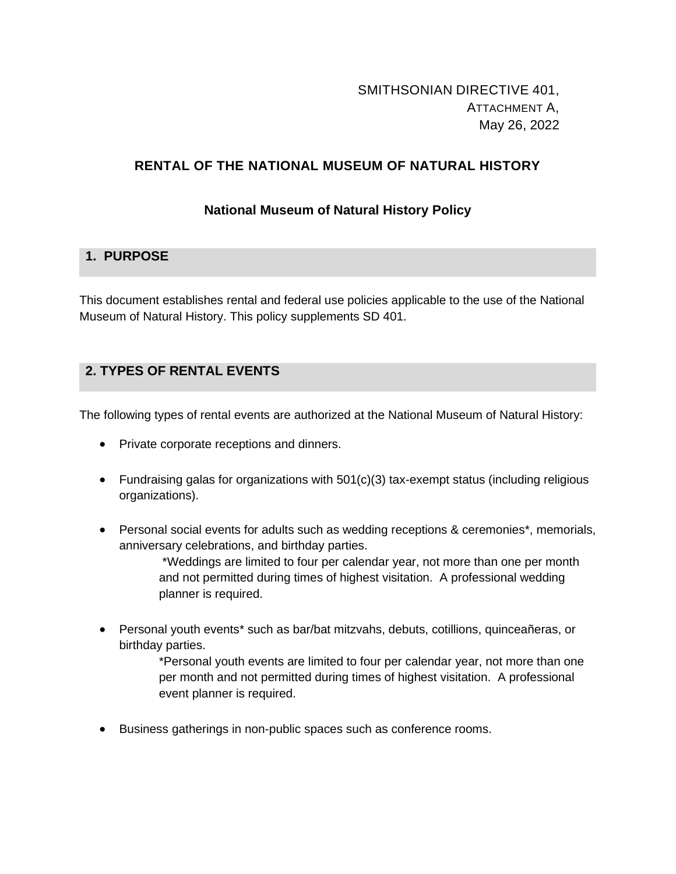# SMITHSONIAN DIRECTIVE 401, ATTACHMENT A, May 26, 2022

## **RENTAL OF THE NATIONAL MUSEUM OF NATURAL HISTORY**

### **National Museum of Natural History Policy**

## **1. PURPOSE**

This document establishes rental and federal use policies applicable to the use of the National Museum of Natural History. This policy supplements SD 401.

## **2. TYPES OF RENTAL EVENTS**

The following types of rental events are authorized at the National Museum of Natural History:

- Private corporate receptions and dinners.
- Fundraising galas for organizations with 501(c)(3) tax-exempt status (including religious organizations).
- Personal social events for adults such as wedding receptions & ceremonies\*, memorials, anniversary celebrations, and birthday parties.

\*Weddings are limited to four per calendar year, not more than one per month and not permitted during times of highest visitation. A professional wedding planner is required.

• Personal youth events\* such as bar/bat mitzvahs, debuts, cotillions, quinceañeras, or birthday parties.

> \*Personal youth events are limited to four per calendar year, not more than one per month and not permitted during times of highest visitation. A professional event planner is required.

• Business gatherings in non-public spaces such as conference rooms.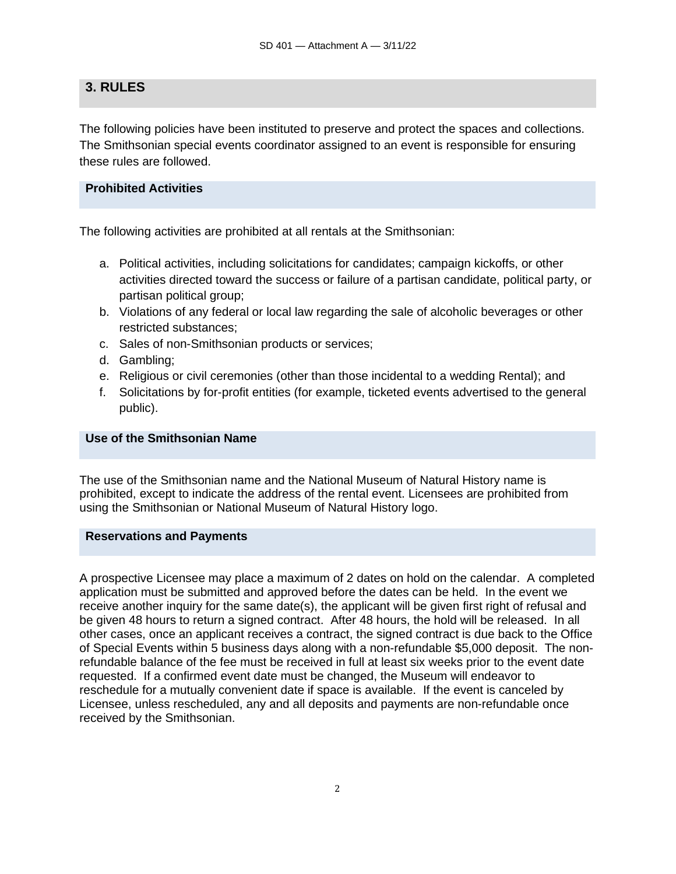## **3. RULES**

The following policies have been instituted to preserve and protect the spaces and collections. The Smithsonian special events coordinator assigned to an event is responsible for ensuring these rules are followed.

### **Prohibited Activities**

The following activities are prohibited at all rentals at the Smithsonian:

- a. Political activities, including solicitations for candidates; campaign kickoffs, or other activities directed toward the success or failure of a partisan candidate, political party, or partisan political group;
- b. Violations of any federal or local law regarding the sale of alcoholic beverages or other restricted substances;
- c. Sales of non-Smithsonian products or services;
- d. Gambling;
- e. Religious or civil ceremonies (other than those incidental to a wedding Rental); and
- f. Solicitations by for-profit entities (for example, ticketed events advertised to the general public).

### **Use of the Smithsonian Name**

The use of the Smithsonian name and the National Museum of Natural History name is prohibited, except to indicate the address of the rental event. Licensees are prohibited from using the Smithsonian or National Museum of Natural History logo.

#### **Reservations and Payments**

A prospective Licensee may place a maximum of 2 dates on hold on the calendar. A completed application must be submitted and approved before the dates can be held. In the event we receive another inquiry for the same date(s), the applicant will be given first right of refusal and be given 48 hours to return a signed contract. After 48 hours, the hold will be released. In all other cases, once an applicant receives a contract, the signed contract is due back to the Office of Special Events within 5 business days along with a non-refundable \$5,000 deposit. The nonrefundable balance of the fee must be received in full at least six weeks prior to the event date requested. If a confirmed event date must be changed, the Museum will endeavor to reschedule for a mutually convenient date if space is available. If the event is canceled by Licensee, unless rescheduled, any and all deposits and payments are non-refundable once received by the Smithsonian.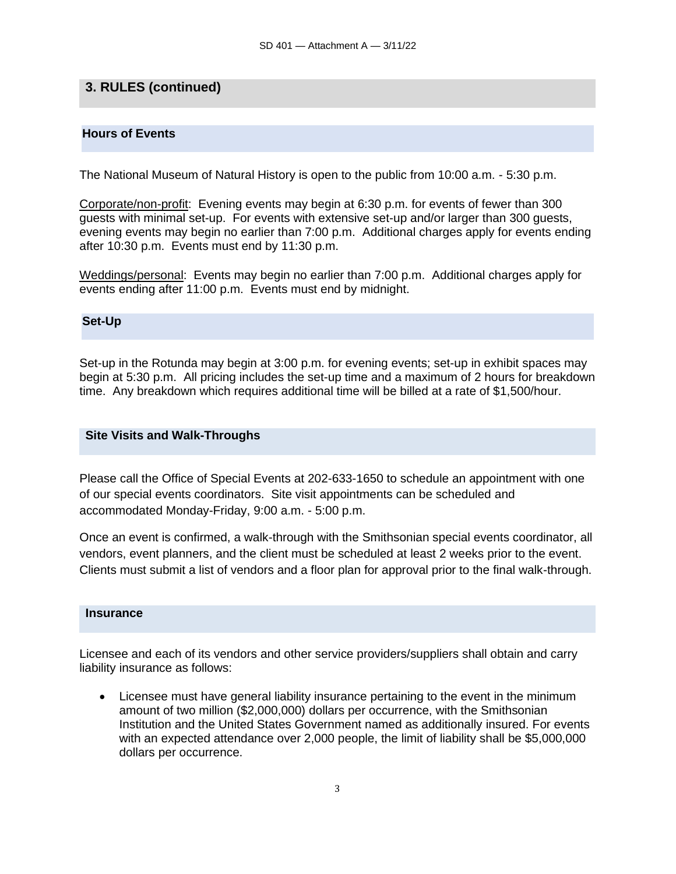## **3. RULES (continued)**

### **Hours of Events**

The National Museum of Natural History is open to the public from 10:00 a.m. - 5:30 p.m.

Corporate/non-profit: Evening events may begin at 6:30 p.m. for events of fewer than 300 guests with minimal set-up. For events with extensive set-up and/or larger than 300 guests, evening events may begin no earlier than 7:00 p.m. Additional charges apply for events ending after 10:30 p.m. Events must end by 11:30 p.m.

Weddings/personal: Events may begin no earlier than 7:00 p.m. Additional charges apply for events ending after 11:00 p.m. Events must end by midnight.

#### **Set-Up**

Set-up in the Rotunda may begin at 3:00 p.m. for evening events; set-up in exhibit spaces may begin at 5:30 p.m. All pricing includes the set-up time and a maximum of 2 hours for breakdown time. Any breakdown which requires additional time will be billed at a rate of \$1,500/hour.

#### **Site Visits and Walk-Throughs**

Please call the Office of Special Events at 202-633-1650 to schedule an appointment with one of our special events coordinators. Site visit appointments can be scheduled and accommodated Monday-Friday, 9:00 a.m. - 5:00 p.m.

Once an event is confirmed, a walk-through with the Smithsonian special events coordinator, all vendors, event planners, and the client must be scheduled at least 2 weeks prior to the event. Clients must submit a list of vendors and a floor plan for approval prior to the final walk-through.

#### **Insurance**

Licensee and each of its vendors and other service providers/suppliers shall obtain and carry liability insurance as follows:

• Licensee must have general liability insurance pertaining to the event in the minimum amount of two million (\$2,000,000) dollars per occurrence, with the Smithsonian Institution and the United States Government named as additionally insured. For events with an expected attendance over 2,000 people, the limit of liability shall be \$5,000,000 dollars per occurrence.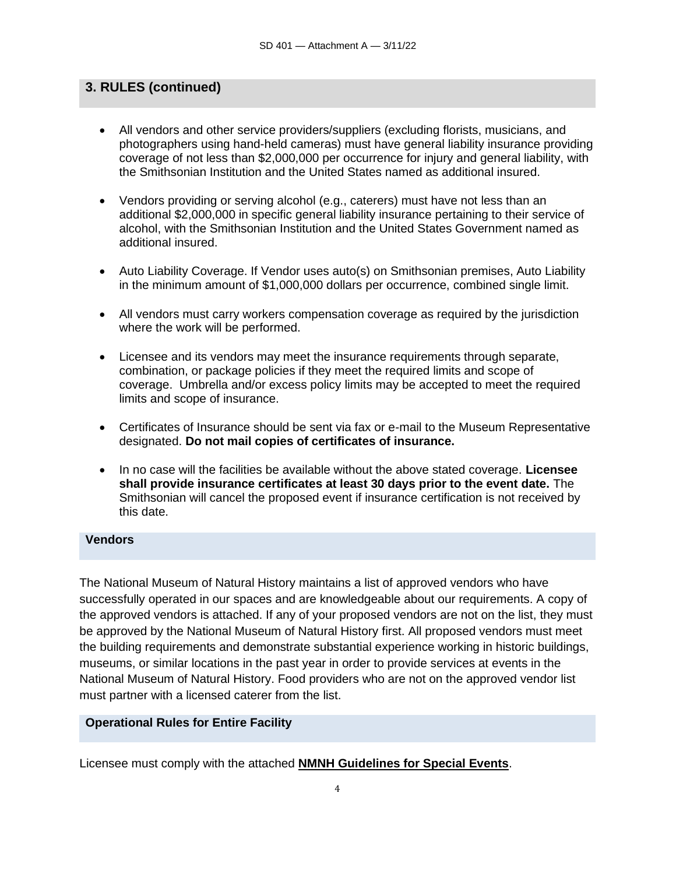## **3. RULES (continued)**

- All vendors and other service providers/suppliers (excluding florists, musicians, and photographers using hand-held cameras) must have general liability insurance providing coverage of not less than \$2,000,000 per occurrence for injury and general liability, with the Smithsonian Institution and the United States named as additional insured.
- Vendors providing or serving alcohol (e.g., caterers) must have not less than an additional \$2,000,000 in specific general liability insurance pertaining to their service of alcohol, with the Smithsonian Institution and the United States Government named as additional insured.
- Auto Liability Coverage. If Vendor uses auto(s) on Smithsonian premises, Auto Liability in the minimum amount of \$1,000,000 dollars per occurrence, combined single limit.
- All vendors must carry workers compensation coverage as required by the jurisdiction where the work will be performed.
- Licensee and its vendors may meet the insurance requirements through separate, combination, or package policies if they meet the required limits and scope of coverage. Umbrella and/or excess policy limits may be accepted to meet the required limits and scope of insurance.
- Certificates of Insurance should be sent via fax or e-mail to the Museum Representative designated. **Do not mail copies of certificates of insurance.**
- In no case will the facilities be available without the above stated coverage. **Licensee shall provide insurance certificates at least 30 days prior to the event date.** The Smithsonian will cancel the proposed event if insurance certification is not received by this date.

#### **Vendors**

The National Museum of Natural History maintains a list of approved vendors who have successfully operated in our spaces and are knowledgeable about our requirements. A copy of the approved vendors is attached. If any of your proposed vendors are not on the list, they must be approved by the National Museum of Natural History first. All proposed vendors must meet the building requirements and demonstrate substantial experience working in historic buildings, museums, or similar locations in the past year in order to provide services at events in the National Museum of Natural History. Food providers who are not on the approved vendor list must partner with a licensed caterer from the list.

### **Operational Rules for Entire Facility**

Licensee must comply with the attached **NMNH Guidelines for Special Events**.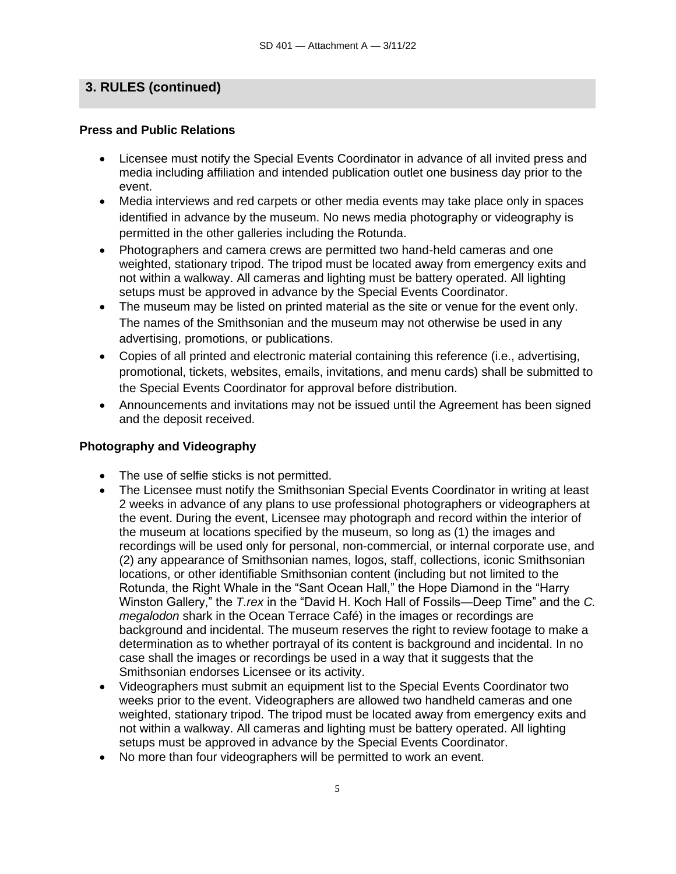## **3. RULES (continued)**

#### **Press and Public Relations**

- Licensee must notify the Special Events Coordinator in advance of all invited press and media including affiliation and intended publication outlet one business day prior to the event.
- Media interviews and red carpets or other media events may take place only in spaces identified in advance by the museum. No news media photography or videography is permitted in the other galleries including the Rotunda.
- Photographers and camera crews are permitted two hand-held cameras and one weighted, stationary tripod. The tripod must be located away from emergency exits and not within a walkway. All cameras and lighting must be battery operated. All lighting setups must be approved in advance by the Special Events Coordinator.
- The museum may be listed on printed material as the site or venue for the event only. The names of the Smithsonian and the museum may not otherwise be used in any advertising, promotions, or publications.
- Copies of all printed and electronic material containing this reference (i.e., advertising, promotional, tickets, websites, emails, invitations, and menu cards) shall be submitted to the Special Events Coordinator for approval before distribution.
- Announcements and invitations may not be issued until the Agreement has been signed and the deposit received.

### **Photography and Videography**

- The use of selfie sticks is not permitted.
- The Licensee must notify the Smithsonian Special Events Coordinator in writing at least 2 weeks in advance of any plans to use professional photographers or videographers at the event. During the event, Licensee may photograph and record within the interior of the museum at locations specified by the museum, so long as (1) the images and recordings will be used only for personal, non-commercial, or internal corporate use, and (2) any appearance of Smithsonian names, logos, staff, collections, iconic Smithsonian locations, or other identifiable Smithsonian content (including but not limited to the Rotunda, the Right Whale in the "Sant Ocean Hall," the Hope Diamond in the "Harry Winston Gallery," the *T.rex* in the "David H. Koch Hall of Fossils—Deep Time" and the *C. megalodon* shark in the Ocean Terrace Café) in the images or recordings are background and incidental. The museum reserves the right to review footage to make a determination as to whether portrayal of its content is background and incidental. In no case shall the images or recordings be used in a way that it suggests that the Smithsonian endorses Licensee or its activity.
- Videographers must submit an equipment list to the Special Events Coordinator two weeks prior to the event. Videographers are allowed two handheld cameras and one weighted, stationary tripod. The tripod must be located away from emergency exits and not within a walkway. All cameras and lighting must be battery operated. All lighting setups must be approved in advance by the Special Events Coordinator.
- No more than four videographers will be permitted to work an event.